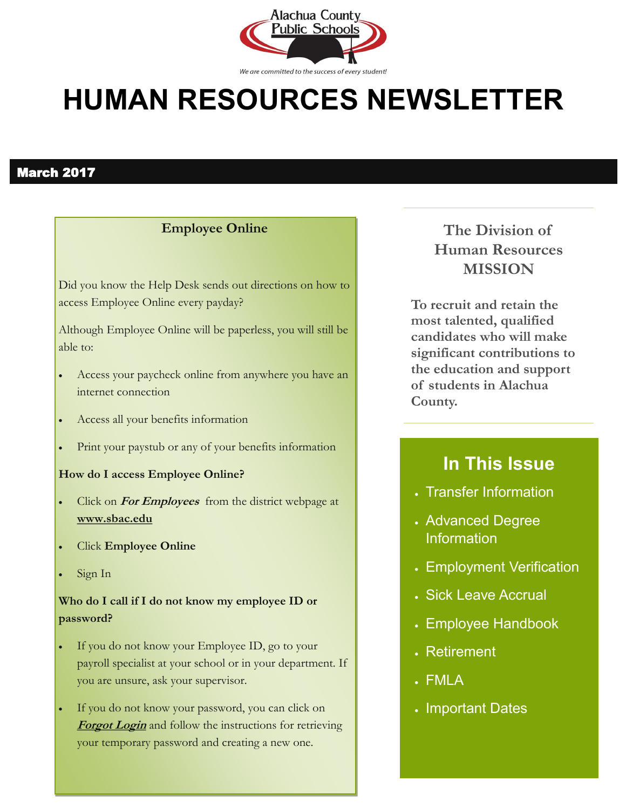

# **HUMAN RESOURCES NEWSLETTER**

### March 2017

### **Employee Online**

Did you know the Help Desk sends out directions on how to access Employee Online every payday?

Although Employee Online will be paperless, you will still be able to:

- Access your paycheck online from anywhere you have an internet connection
- Access all your benefits information
- Print your paystub or any of your benefits information

#### **How do I access Employee Online?**

- Click on **For Employees** from the district webpage at **www.sbac.edu**
- Click **Employee Online**
- Sign In

### **Who do I call if I do not know my employee ID or password?**

- If you do not know your Employee ID, go to your payroll specialist at your school or in your department. If you are unsure, ask your supervisor.
- If you do not know your password, you can click on **Forgot Login** and follow the instructions for retrieving your temporary password and creating a new one.

**The Division of Human Resources MISSION**

**To recruit and retain the most talented, qualified candidates who will make significant contributions to the education and support of students in Alachua County.**

### **In This Issue**

- Transfer Information
- Advanced Degree Information
- Employment Verification
- Sick Leave Accrual
- Employee Handbook
- Retirement
- FMLA
- . Important Dates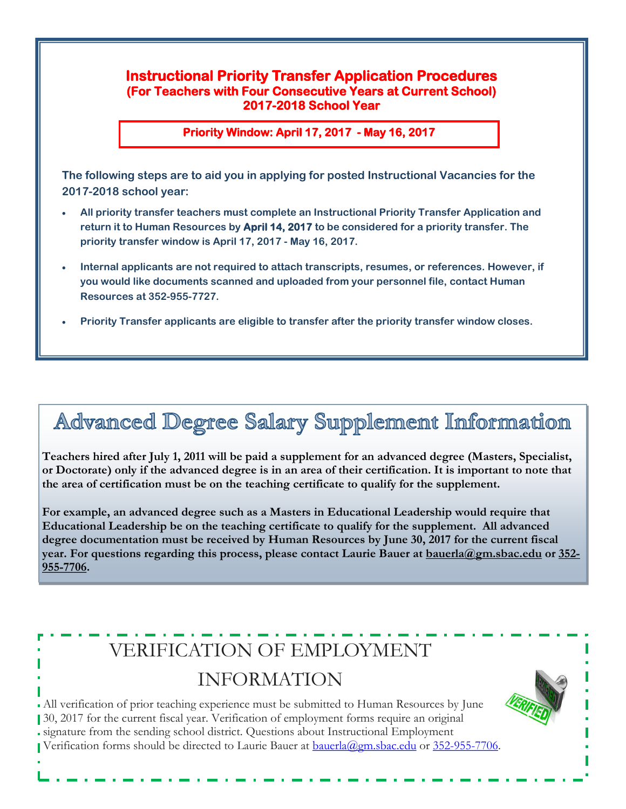### **Instructional Priority Transfer Application Procedures (For Teachers with Four Consecutive Years at Current School) 2017-2018 School Year**

**Priority Window: April 17, 2017 - May 16, 2017** 

**The following steps are to aid you in applying for posted Instructional Vacancies for the 2017-2018 school year:**

- **All priority transfer teachers must complete an Instructional Priority Transfer Application and return it to Human Resources by April 14, 2017 to be considered for a priority transfer. The priority transfer window is April 17, 2017 - May 16, 2017.**
- **Internal applicants are not required to attach transcripts, resumes, or references. However, if you would like documents scanned and uploaded from your personnel file, contact Human Resources at 352-955-7727.**
- **Priority Transfer applicants are eligible to transfer after the priority transfer window closes.**

## Advanced Degree Salary Supplement Information

**Teachers hired after July 1, 2011 will be paid a supplement for an advanced degree (Masters, Specialist, or Doctorate) only if the advanced degree is in an area of their certification. It is important to note that the area of certification must be on the teaching certificate to qualify for the supplement.** 

**For example, an advanced degree such as a Masters in Educational Leadership would require that Educational Leadership be on the teaching certificate to qualify for the supplement. All advanced degree documentation must be received by Human Resources by June 30, 2017 for the current fiscal year. For questions regarding this process, please contact Laurie Bauer at [bauerla@gm.sbac.edu](mailto:bauerla@gm.sbac.edu) or 352- 955-7706.**